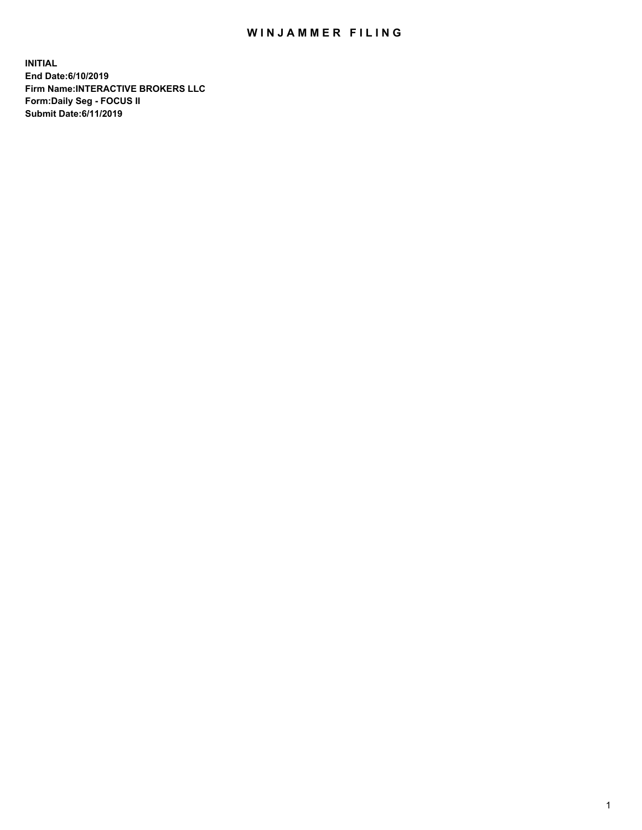## WIN JAMMER FILING

**INITIAL End Date:6/10/2019 Firm Name:INTERACTIVE BROKERS LLC Form:Daily Seg - FOCUS II Submit Date:6/11/2019**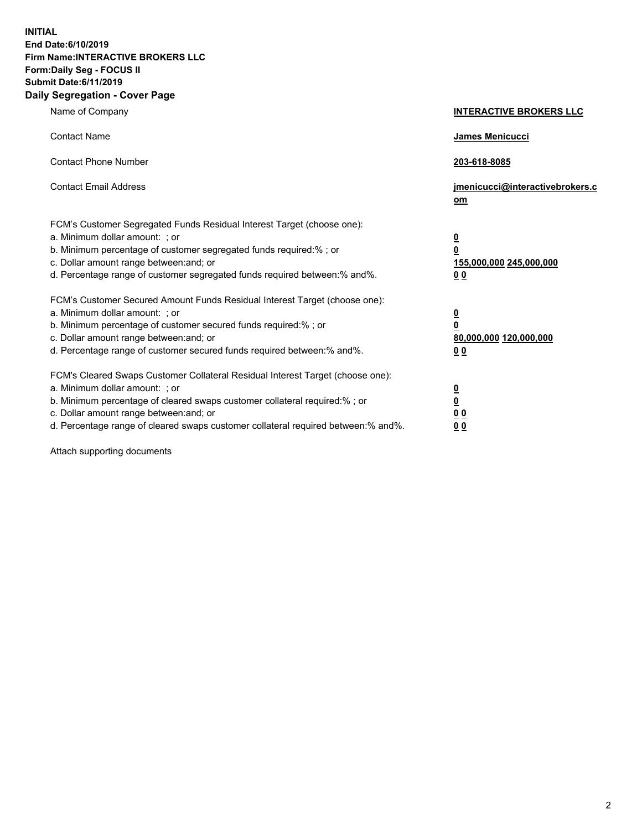**INITIAL End Date:6/10/2019 Firm Name:INTERACTIVE BROKERS LLC Form:Daily Seg - FOCUS II Submit Date:6/11/2019 Daily Segregation - Cover Page**

| Name of Company                                                                                                                                                                                                                                                                                                                | <b>INTERACTIVE BROKERS LLC</b>                                                                  |
|--------------------------------------------------------------------------------------------------------------------------------------------------------------------------------------------------------------------------------------------------------------------------------------------------------------------------------|-------------------------------------------------------------------------------------------------|
| <b>Contact Name</b>                                                                                                                                                                                                                                                                                                            | James Menicucci                                                                                 |
| <b>Contact Phone Number</b>                                                                                                                                                                                                                                                                                                    | 203-618-8085                                                                                    |
| <b>Contact Email Address</b>                                                                                                                                                                                                                                                                                                   | jmenicucci@interactivebrokers.c<br>om                                                           |
| FCM's Customer Segregated Funds Residual Interest Target (choose one):<br>a. Minimum dollar amount: ; or<br>b. Minimum percentage of customer segregated funds required:% ; or<br>c. Dollar amount range between: and; or<br>d. Percentage range of customer segregated funds required between:% and%.                         | $\overline{\mathbf{0}}$<br>$\overline{\mathbf{0}}$<br>155,000,000 245,000,000<br>0 <sub>0</sub> |
| FCM's Customer Secured Amount Funds Residual Interest Target (choose one):<br>a. Minimum dollar amount: ; or<br>b. Minimum percentage of customer secured funds required:%; or<br>c. Dollar amount range between: and; or<br>d. Percentage range of customer secured funds required between:% and%.                            | $\overline{\mathbf{0}}$<br>$\overline{\mathbf{0}}$<br>80,000,000 120,000,000<br>00              |
| FCM's Cleared Swaps Customer Collateral Residual Interest Target (choose one):<br>a. Minimum dollar amount: ; or<br>b. Minimum percentage of cleared swaps customer collateral required:% ; or<br>c. Dollar amount range between: and; or<br>d. Percentage range of cleared swaps customer collateral required between:% and%. | $\overline{\mathbf{0}}$<br>$\underline{\mathbf{0}}$<br>0 <sub>0</sub><br>0 <sub>0</sub>         |

Attach supporting documents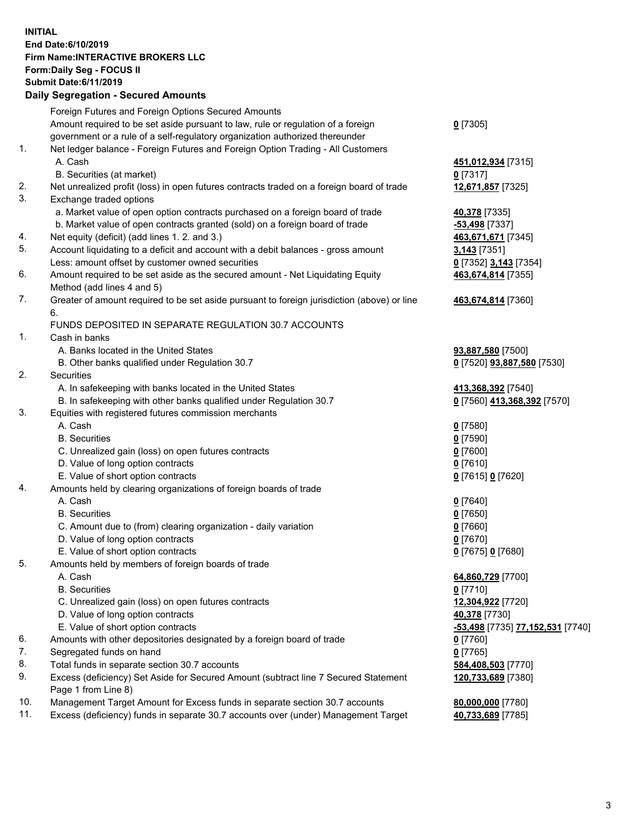## **INITIAL End Date:6/10/2019 Firm Name:INTERACTIVE BROKERS LLC Form:Daily Seg - FOCUS II Submit Date:6/11/2019 Daily Segregation - Secured Amounts**

|                | Daily Segregation - Secured Amounts                                                         |                                                             |
|----------------|---------------------------------------------------------------------------------------------|-------------------------------------------------------------|
|                | Foreign Futures and Foreign Options Secured Amounts                                         |                                                             |
|                | Amount required to be set aside pursuant to law, rule or regulation of a foreign            | $0$ [7305]                                                  |
|                | government or a rule of a self-regulatory organization authorized thereunder                |                                                             |
| $\mathbf{1}$ . | Net ledger balance - Foreign Futures and Foreign Option Trading - All Customers             |                                                             |
|                | A. Cash                                                                                     | 451,012,934 [7315]                                          |
|                | B. Securities (at market)                                                                   | $0$ [7317]                                                  |
| 2.             | Net unrealized profit (loss) in open futures contracts traded on a foreign board of trade   | 12,671,857 [7325]                                           |
| 3.             | Exchange traded options                                                                     |                                                             |
|                | a. Market value of open option contracts purchased on a foreign board of trade              | 40,378 [7335]                                               |
|                | b. Market value of open contracts granted (sold) on a foreign board of trade                | -53,498 [7337]                                              |
| 4.             | Net equity (deficit) (add lines 1. 2. and 3.)                                               | 463,671,671 [7345]                                          |
| 5.             | Account liquidating to a deficit and account with a debit balances - gross amount           | <b>3,143</b> [7351]                                         |
|                | Less: amount offset by customer owned securities                                            | 0 [7352] 3,143 [7354]                                       |
| 6.             | Amount required to be set aside as the secured amount - Net Liquidating Equity              | 463,674,814 [7355]                                          |
|                | Method (add lines 4 and 5)                                                                  |                                                             |
| 7.             | Greater of amount required to be set aside pursuant to foreign jurisdiction (above) or line | 463,674,814 [7360]                                          |
|                | 6.                                                                                          |                                                             |
|                | FUNDS DEPOSITED IN SEPARATE REGULATION 30.7 ACCOUNTS                                        |                                                             |
| 1.             | Cash in banks                                                                               |                                                             |
|                | A. Banks located in the United States                                                       | 93,887,580 [7500]                                           |
| 2.             | B. Other banks qualified under Regulation 30.7<br><b>Securities</b>                         | 0 [7520] 93,887,580 [7530]                                  |
|                | A. In safekeeping with banks located in the United States                                   |                                                             |
|                | B. In safekeeping with other banks qualified under Regulation 30.7                          | 413,368,392 [7540]<br>0 [7560] 413,368,392 [7570]           |
| 3.             | Equities with registered futures commission merchants                                       |                                                             |
|                | A. Cash                                                                                     | $0$ [7580]                                                  |
|                | <b>B.</b> Securities                                                                        | $0$ [7590]                                                  |
|                | C. Unrealized gain (loss) on open futures contracts                                         | $0$ [7600]                                                  |
|                | D. Value of long option contracts                                                           | $0$ [7610]                                                  |
|                | E. Value of short option contracts                                                          | 0 [7615] 0 [7620]                                           |
| 4.             | Amounts held by clearing organizations of foreign boards of trade                           |                                                             |
|                | A. Cash                                                                                     | $0$ [7640]                                                  |
|                | <b>B.</b> Securities                                                                        | $0$ [7650]                                                  |
|                | C. Amount due to (from) clearing organization - daily variation                             | $0$ [7660]                                                  |
|                | D. Value of long option contracts                                                           | $0$ [7670]                                                  |
|                | E. Value of short option contracts                                                          | 0 [7675] 0 [7680]                                           |
| 5.             | Amounts held by members of foreign boards of trade                                          |                                                             |
|                | A. Cash                                                                                     | 64,860,729 [7700]                                           |
|                | <b>B.</b> Securities                                                                        | $0$ [7710]                                                  |
|                | C. Unrealized gain (loss) on open futures contracts                                         | 12,304,922 [7720]                                           |
|                | D. Value of long option contracts                                                           | 40,378 [7730]                                               |
|                | E. Value of short option contracts                                                          | <mark>-53,498</mark> [7735] <u>77,1<b>52,531</b></u> [7740] |
| 6.             | Amounts with other depositories designated by a foreign board of trade                      | 0 [7760]                                                    |
| 7.             | Segregated funds on hand                                                                    | $0$ [7765]                                                  |
| 8.             | Total funds in separate section 30.7 accounts                                               | 584,408,503 [7770]                                          |
| 9.             | Excess (deficiency) Set Aside for Secured Amount (subtract line 7 Secured Statement         | 120,733,689 [7380]                                          |
|                | Page 1 from Line 8)                                                                         |                                                             |
| 10.            | Management Target Amount for Excess funds in separate section 30.7 accounts                 | 80,000,000 [7780]                                           |
| 11.            | Excess (deficiency) funds in separate 30.7 accounts over (under) Management Target          | 40,733,689 [7785]                                           |
|                |                                                                                             |                                                             |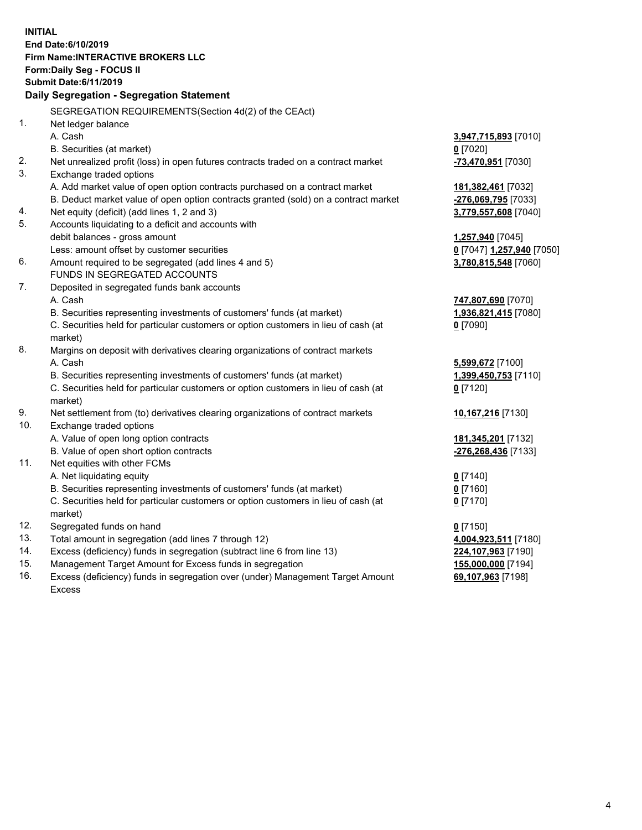**INITIAL End Date:6/10/2019 Firm Name:INTERACTIVE BROKERS LLC Form:Daily Seg - FOCUS II Submit Date:6/11/2019 Daily Segregation - Segregation Statement** SEGREGATION REQUIREMENTS(Section 4d(2) of the CEAct) 1. Net ledger balance A. Cash **3,947,715,893** [7010] B. Securities (at market) **0** [7020] 2. Net unrealized profit (loss) in open futures contracts traded on a contract market **-73,470,951** [7030] 3. Exchange traded options A. Add market value of open option contracts purchased on a contract market **181,382,461** [7032] B. Deduct market value of open option contracts granted (sold) on a contract market **-276,069,795** [7033] 4. Net equity (deficit) (add lines 1, 2 and 3) **3,779,557,608** [7040] 5. Accounts liquidating to a deficit and accounts with debit balances - gross amount **1,257,940** [7045] Less: amount offset by customer securities **0** [7047] **1,257,940** [7050] 6. Amount required to be segregated (add lines 4 and 5) **3,780,815,548** [7060] FUNDS IN SEGREGATED ACCOUNTS 7. Deposited in segregated funds bank accounts A. Cash **747,807,690** [7070] B. Securities representing investments of customers' funds (at market) **1,936,821,415** [7080] C. Securities held for particular customers or option customers in lieu of cash (at market) **0** [7090] 8. Margins on deposit with derivatives clearing organizations of contract markets A. Cash **5,599,672** [7100] B. Securities representing investments of customers' funds (at market) **1,399,450,753** [7110] C. Securities held for particular customers or option customers in lieu of cash (at market) **0** [7120] 9. Net settlement from (to) derivatives clearing organizations of contract markets **10,167,216** [7130] 10. Exchange traded options A. Value of open long option contracts **181,345,201** [7132] B. Value of open short option contracts **-276,268,436** [7133] 11. Net equities with other FCMs A. Net liquidating equity **0** [7140] B. Securities representing investments of customers' funds (at market) **0** [7160] C. Securities held for particular customers or option customers in lieu of cash (at market) **0** [7170] 12. Segregated funds on hand **0** [7150] 13. Total amount in segregation (add lines 7 through 12) **4,004,923,511** [7180] 14. Excess (deficiency) funds in segregation (subtract line 6 from line 13) **224,107,963** [7190] 15. Management Target Amount for Excess funds in segregation **155,000,000** [7194] **69,107,963** [7198]

16. Excess (deficiency) funds in segregation over (under) Management Target Amount Excess